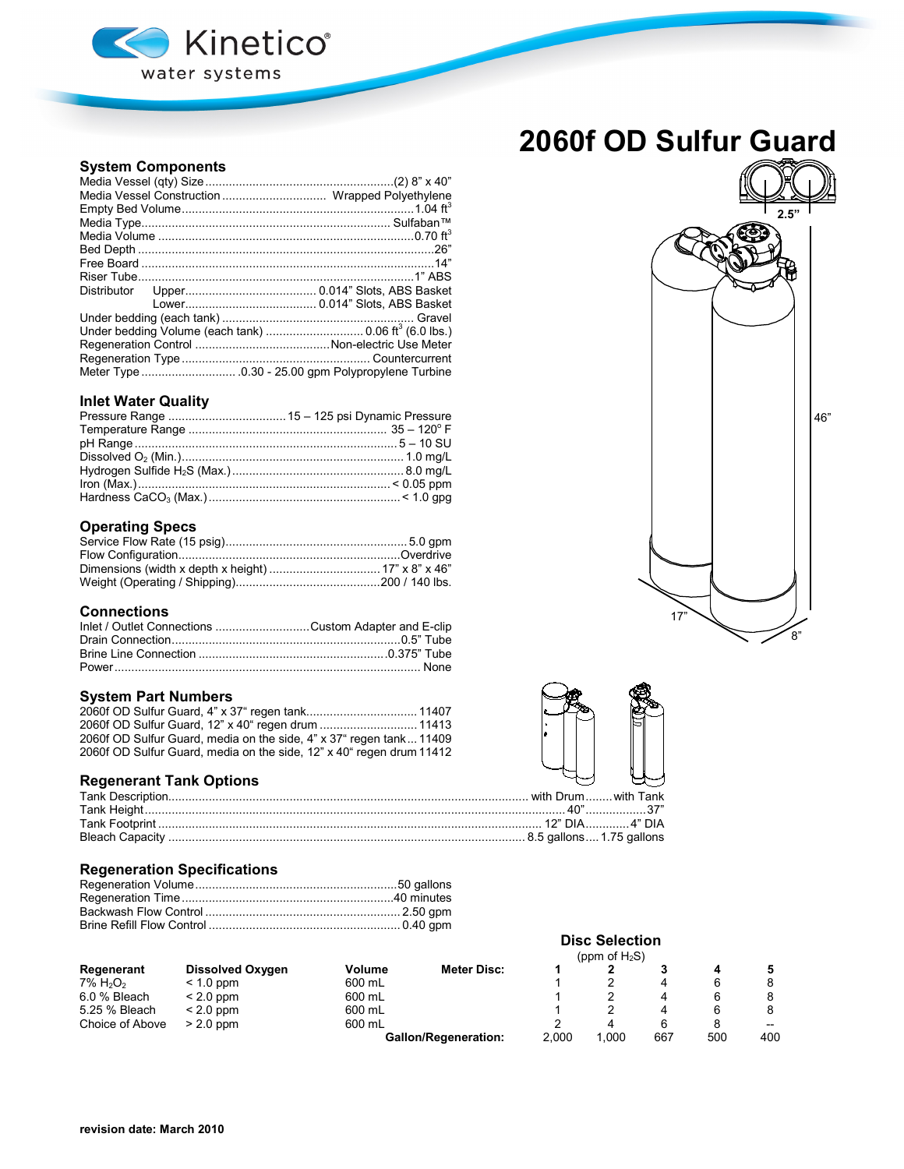

# **2060f OD Sulfur Guard**

## **System Components**

| Under bedding Volume (each tank)  0.06 ft3 (6.0 lbs.) |
|-------------------------------------------------------|
|                                                       |
|                                                       |
|                                                       |

## **Inlet Water Quality**

## **Operating Specs**

### **Connections**

| Inlet / Outlet Connections Custom Adapter and E-clip |  |
|------------------------------------------------------|--|
|                                                      |  |
|                                                      |  |
|                                                      |  |

## **System Part Numbers**

| 2060f OD Sulfur Guard, 12" x 40" regen drum  11413                   |  |
|----------------------------------------------------------------------|--|
| 2060f OD Sulfur Guard, media on the side, 4" x 37" regen tank 11409  |  |
| 2060f OD Sulfur Guard, media on the side, 12" x 40" regen drum 11412 |  |

## **Regenerant Tank Options**

## **Regeneration Specifications**

|                                     |                         |        |                             |       | (ppm of $H_2S$ ) |     |     |       |
|-------------------------------------|-------------------------|--------|-----------------------------|-------|------------------|-----|-----|-------|
| Regenerant                          | <b>Dissolved Oxygen</b> | Volume | <b>Meter Disc:</b>          |       |                  |     |     |       |
| $7\%$ H <sub>2</sub> O <sub>2</sub> | $< 1.0$ ppm             | 600 mL |                             |       |                  | 4   |     |       |
| 6.0 % Bleach                        | $< 2.0$ ppm             | 600 mL |                             |       |                  | 4   | 6   |       |
| 5.25 % Bleach                       | $< 2.0$ ppm             | 600 mL |                             |       |                  | 4   | 6   |       |
| Choice of Above                     | $> 2.0$ ppm             | 600 mL |                             |       | 4                | 6   |     | $- -$ |
|                                     |                         |        | <b>Gallon/Regeneration:</b> | 2.000 | 1.000            | 667 | 500 | 400   |





**Disc Selection**